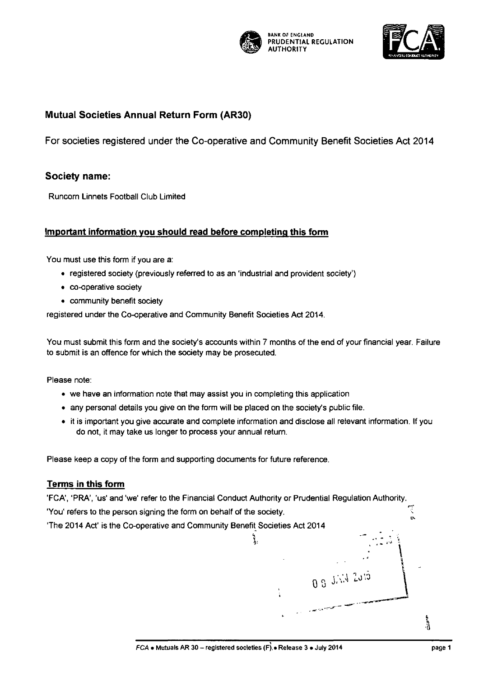

BANK OF ENGLAND PRUDENTIAL REGULATION AUTHORITY



# **Mutual Societies Annual Return Form (AR30)**

**For societies registered under the Co-operative and Community Benefit Societies Act 2014** 

# **Society name:**

Runcorn Linnets Football Club Limited

# **Important information vou should read before completing this form**

You must use this form if you are a:

- registered society (previously referred to as an 'industrial and provident society')
- co-operative society
- community benefit society

registered under the Co-operative and Community Benefit Societies Act 2014.

You must submit this form and the society's accounts within 7 months of the end of your financial year. Failure to submit is an offence for which the society may be prosecuted.

Please note:

- we have an information note that may assist you in completing this application
- any personal details you give on the form will be placed on the society's public file.
- it is important you give accurate and complete information and disclose all relevant information. If you do not, it may take us longer to process your annual return.

Ţ.

**Please keep a copy of the form and supporting documents for future reference.** 

# **Terms in this form**

'FCA', 'PRA', 'us' and 'we' refer to the Financial Conduct Authority or Prudential Regulation Authority.

'You' refers to the person signing the form on behalf of the society.

The 2014 Act' is the Co-operative and Community Benefit Societies Act 2014

00 J.W 2015

ر<br>ان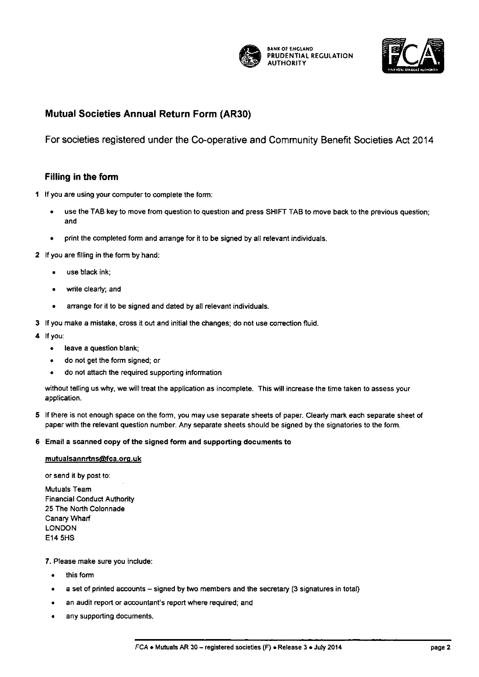



# **Mutual Societies Annual Return Form (AR30)**

For societies registered under the Co-operative and Community Benefit Societies Act 2014

# **Filling in the form**

- 1 If you are using your computer to complete the form:
	- use the TAB key to move from question to question and press SHIFT TAB to move back to the previous question; and
	- print the completed form and arrange for it to be signed by all relevant individuals.
- 2 If you are filling in the form by hand:
	- use black ink;
	- write clearly; and
	- arrange for it to be signed and dated by all relevant individuals.
- 3 If you make a mistake, cross it out and initial the changes; do not use correction fluid.
- 4 If you:
	- leave a question blank;
	- do not get the form signed; or
	- do not attach the required supporting information

without telling us why, we will treat the application as incomplete. This will increase the time taken to assess your application.

5 If there is not enough space on the form, you may use separate sheets of paper. Clearly mark each separate sheet of paper with the relevant question number. Any separate sheets should be signed by the signatories to the form.

# 6 Email a scanned copy of the signed form and supporting documents to

# mutualsannrtns@fca.org.uk

or send it by post to:

Mutuals Team Financial Conduct Authority 25 The North Colonnade Canary Wharf LONDON E14 5HS

# 7. Please make sure you include:

- this form
- a set of printed accounts signed by two members and the secretary (3 signatures in total)
- an audit report or accountant's report where required; and
- any supporting documents.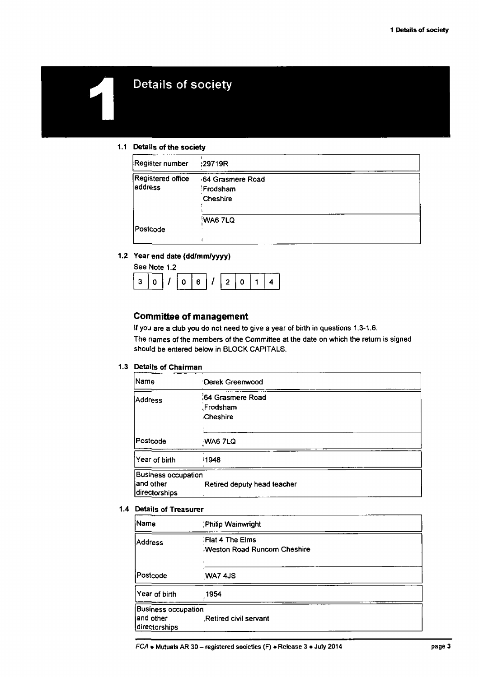# **1 Details of society**

# 11 Details of the society

| Register number   | :29719R          |  |
|-------------------|------------------|--|
| Registered office | 64 Grasmere Road |  |
| address           | <b>Frodsham</b>  |  |
|                   | Cheshire         |  |
|                   |                  |  |
|                   | WA6 7LQ          |  |
| Postcode          |                  |  |
|                   |                  |  |

# 1.2 Year end date (dd/mm/yyyy)

| See Note 1.2 |  |  |             |            |  |    |   |  |  |
|--------------|--|--|-------------|------------|--|----|---|--|--|
|              |  |  | $\mathbf 0$ | $6 \mid l$ |  | -2 | 0 |  |  |

# **Committee of management**

If you are a dub you do not need to give a year of birth in questions 1.3-1.6. The names of the members of the Committee at the date on which the return is signed should be entered below in BLOCK CAPITALS.

# 1.3 Details of Chairman

| Name                       | Derek Greenwood             |  |
|----------------------------|-----------------------------|--|
| <b>Address</b>             | 64 Grasmere Road            |  |
|                            | Frodsham,                   |  |
|                            | <b>Cheshire</b>             |  |
| Postcode                   | $\cdot$ WA6 7LQ             |  |
| Year of birth              | 1948                        |  |
| <b>Business occupation</b> |                             |  |
| and other                  | Retired deputy head teacher |  |
| directorships              |                             |  |

# 1.4 Details of Treasurer

| Name                                              | Philip Wainwright                                         |  |  |
|---------------------------------------------------|-----------------------------------------------------------|--|--|
| Address                                           | Flat 4 The Elms<br>Weston Road Runcom Cheshire<br>WA7 4JS |  |  |
| Postcode                                          |                                                           |  |  |
| Year of birth<br>1954                             |                                                           |  |  |
| Business occupation<br>and other<br>directorships | Retired civil servant                                     |  |  |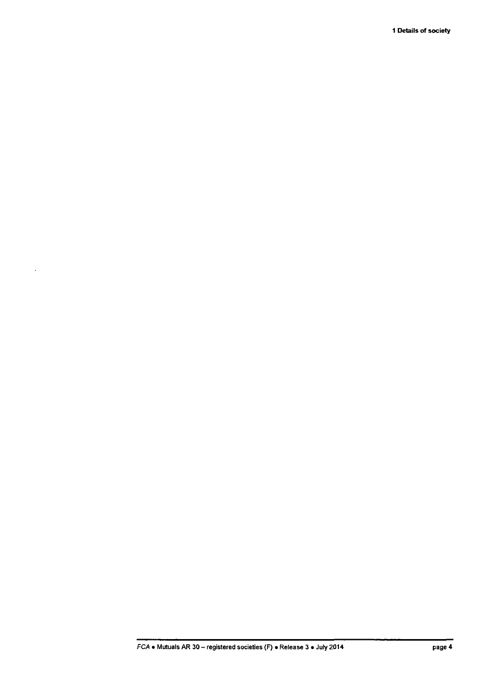1 Details of society

 $\hat{\mathcal{L}}$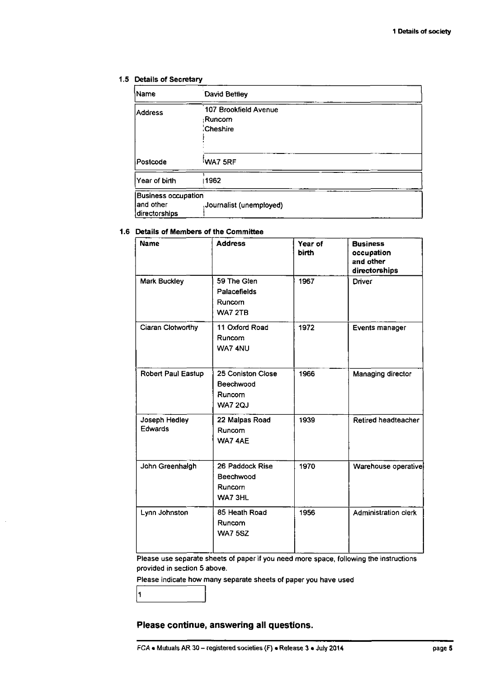# 1.5 Details of Secretary

| Name                                              | David Bettley                                |  |
|---------------------------------------------------|----------------------------------------------|--|
| <b>Address</b>                                    | 107 Brookfield Avenue<br>Runcom<br>¦Cheshire |  |
| Postcode                                          | WA7 5RF                                      |  |
| Year of birth                                     | 1962                                         |  |
| Business occupation<br>and other<br>directorships | ,Journalist (unemployed)                     |  |

# 1.6 Details of Members of the Committee

| <b>Name</b>                     | <b>Address</b>                                                    | Year of<br><b>birth</b> | <b>Business</b><br>occupation<br>and other<br>directorships |
|---------------------------------|-------------------------------------------------------------------|-------------------------|-------------------------------------------------------------|
| <b>Mark Buckley</b>             | 59 The Glen<br>Palacefields<br><b>Runcom</b><br><b>WA7 2TB</b>    | 1967                    | Driver                                                      |
| Ciaran Clotworthy               | 11 Oxford Road<br>Runcom<br>WA7 4NU                               | 1972                    | Events manager                                              |
| Robert Paul Eastup              | 25 Coniston Close<br>Beechwood<br><b>Runcom</b><br><b>WA7 2QJ</b> | 1966                    | Managing director                                           |
| Joseph Hedley<br><b>Edwards</b> | 22 Malpas Road<br>Runcom<br>WA74AE                                | 1939                    | Retired headteacher                                         |
| John Greenhalgh                 | 26 Paddock Rise<br>Beechwood<br>Runcom<br>WA7 3HL                 | 1970                    | Warehouse operative                                         |
| Lynn Johnston                   | 85 Heath Road<br>Runcom<br><b>WA7 5SZ</b>                         | 1956                    | Administration clerk                                        |

Please use separate sheets of paper if you need more space, following the instructions provided in section 5 above.

Please indicate how many separate sheets of paper you have used

# **Please continue, answering all questions.**

<sup>1</sup>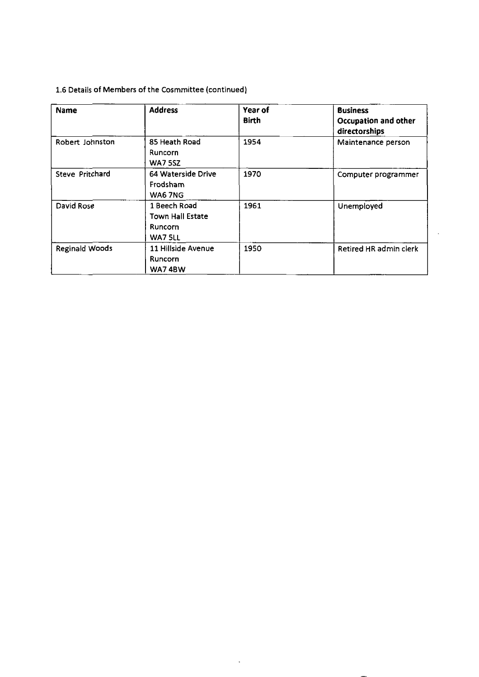# 1.6 Details of Members of the Cosmmittee (continued)

| <b>Name</b>            | <b>Address</b>                                                       | Year of<br><b>Birth</b> | <b>Business</b><br>Occupation and other<br>directorships |
|------------------------|----------------------------------------------------------------------|-------------------------|----------------------------------------------------------|
| Robert Johnston        | 85 Heath Road<br>Runcorn<br><b>WA7 5SZ</b>                           | 1954                    | Maintenance person                                       |
| <b>Steve Pritchard</b> | 64 Waterside Drive<br>Frodsham<br>WA6 7NG                            | 1970                    | Computer programmer                                      |
| David Rose             | 1 Beech Road<br><b>Town Hall Estate</b><br><b>Runcorn</b><br>WA7 SLL | 1961                    | Unemployed                                               |
| Reginald Woods         | 11 Hillside Avenue<br><b>Runcorn</b><br><b>WA74BW</b>                | 1950                    | Retired HR admin clerk                                   |

 $\mathbb{Z}^2$ 

 $\ddot{\phantom{a}}$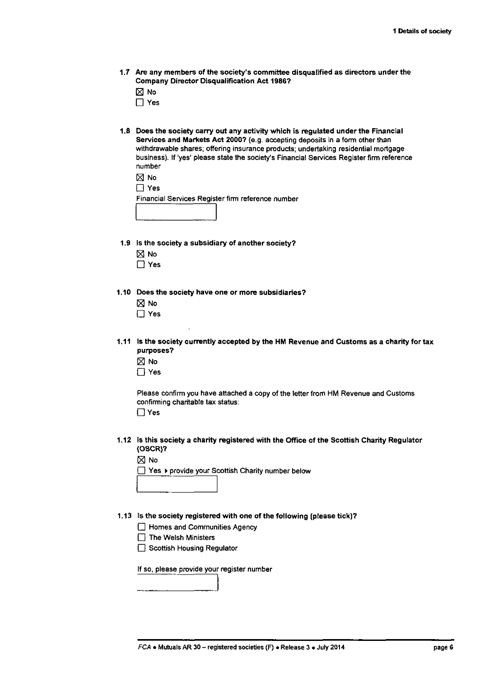**1.7 Are any members of the society's committee disqualified as directors under the Company Director Disqualification Act 1986?** 

S No

 $\Box$  Yes

1.8 Does the society carry out any activity which is regulated under the Financial Services and Markets Act 2000? (e.g. accepting deposits in a form other than withdrawable shares; offering insurance products; undertaking residential mortgage business). If 'yes' please state the society's Financial Services Register firm reference number

| $\boxtimes$ No |  |
|----------------|--|
| 口 Yes          |  |

Financial Services Register firm reference number

**1.9 Is the society a subsidiary of another society?** 

|--|--|

**• Yes** 

**1.10 Does the society have one or more subsidiaries?** 

- **No**  • Yes
- **1.11 Is the society currently accepted by the HM Revenue and Customs as a charity for tax purposes?** 
	- $\boxtimes$  No
	- Yes

Please confirm you have attached a copy of the letter from HM Revenue and Customs confirming charitable tax status:

• Yes

**1.12 Is this society a charity registered with the Office of the Scottish Charity Regulator (OSCRJ?** 

|--|

□ Yes I provide your Scottish Charity number below

| 1.13 is the society registered with one of the following (please tick)? |  |
|-------------------------------------------------------------------------|--|
|-------------------------------------------------------------------------|--|

 $\Box$  Homes and Communities Agency

**The Welsh Ministers** 

Scottish Housing Regulator

If so, please provide your register number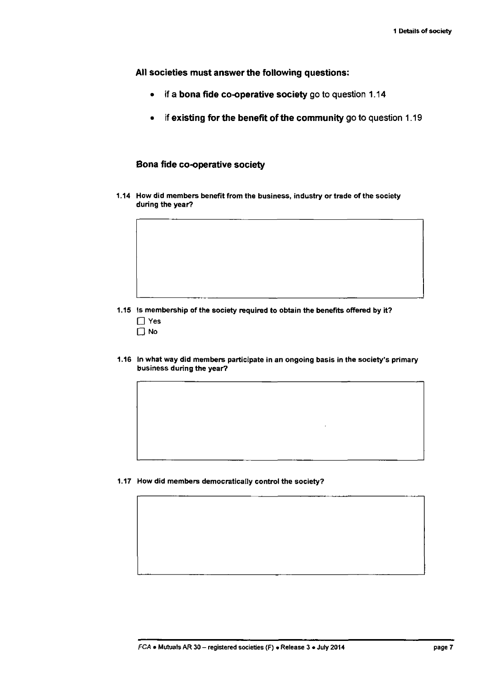**AH societies must answer the following questions:** 

- if a bona fide co-operative society go to question 1.14
- if existing for the benefit of the community go to question 1.19  $\bullet$

# Bona fide co-operative society

1.14 How did members benefit from the business, industry or trade of the society during the year?

- 1.15 Is membership of the society required to obtain the benefits offered by it?  $\square$  Yes
	- $\Box$  No
- 1.16 In what way did members participate in an ongoing basis in the society's primary business during the year?

1.17 How did members democratically control the society?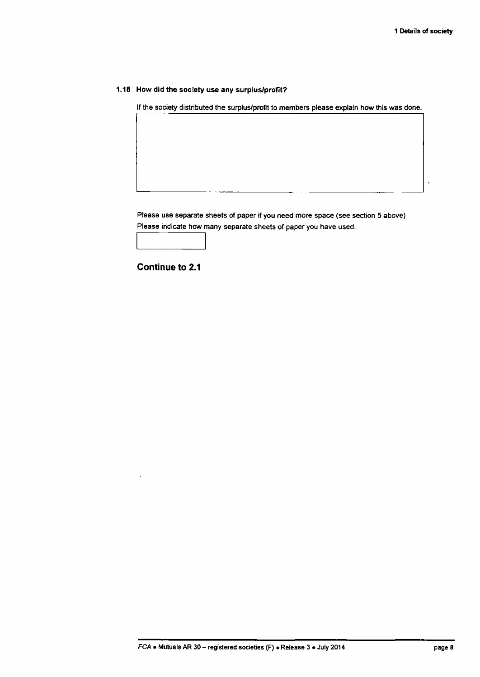# **1.18 How did the society use any surplus/profit?**

If the society distributed the surplus/profit to members please explain how this was done.

Please use separate sheets of paper if you need more space (see section 5 above) Please indicate how many separate sheets of paper you have used.

**Continue to 2.1**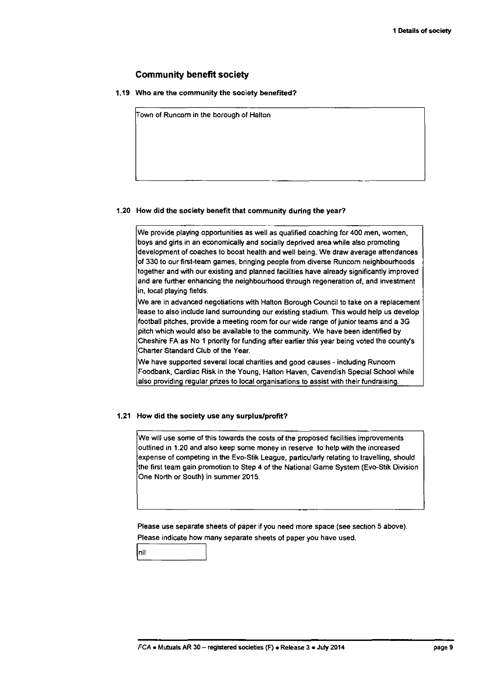# **Community benefit society**

### 1.19 Who are the community the society benefited?

Town of Runcorn in the borough of Halton

## 1.20 How did the society benefit that community during the year?

We provide playing opportunities as well as qualified coaching for 400 men, women, boys and girls in an economically and socially deprived area while also promoting development of coaches to boost health and well being. We draw average attendances of 330 to our first-team games, bringing people from diverse Runcorn neighbourhoods together and with our existing and planned facilities have already significantly improved and are further enhancing the neighbourhood through regeneration of, and investment in, local playing fields.

We are in advanced negotiations with Hatton Borough Council to take on a replacement lease to also include land surrounding our existing stadium. This would help us develop football pitches, provide a meeting room for our wide range of junior teams and a 3G pitch which would also be available to the community. We have been identified by Cheshire FA as No 1 priority for funding after earlier this year being voted the county's Charter Standard Club of the Year.

We have supported several local charities and good causes - including Runcorn Foodbank, Cardiac Risk in the Young, Halton Haven, Cavendish Special School while also providing regular prizes to local organisations to assist with their fundraising.

## **1.21 How did the society use any surplus/profit?**

We will use some of this towards the costs of the proposed facilities improvements outlined in 1.20 and also keep some money in reserve to help with the increased expense of competing in the Evo-Stik League, particularty relating to travelling, should the first team gain promotion to Step 4 of the National Game System (Evo-Stik Division One North or South) in summer 2015.

Please use separate sheets of paper if you need more space (see section 5 above). Please indicate how many separate sheets of paper you have used.

nil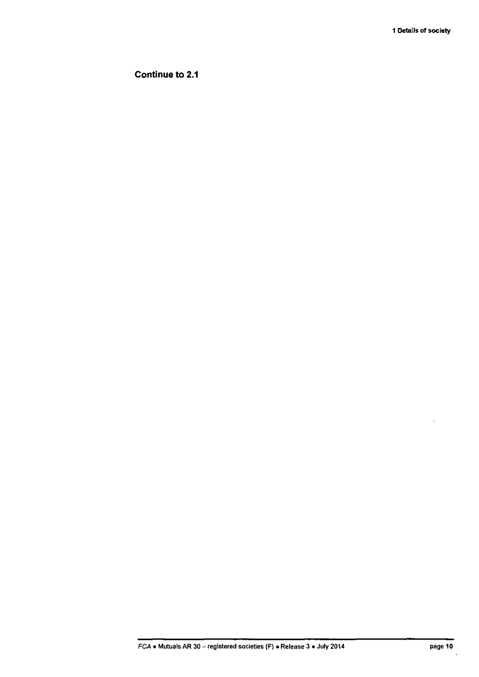**Continue to 2.1**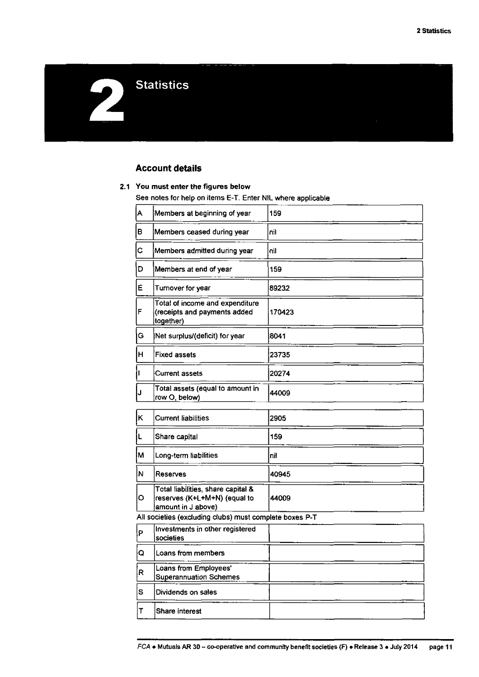# **2 Statistics**

# **Account details**

# **2.1 You must enter the figures below**

See notes for help on items E-T. Enter NIL where applicable

| A                  | Members at beginning of year                                                             | 159    |
|--------------------|------------------------------------------------------------------------------------------|--------|
| в                  | Members ceased during year                                                               | nil    |
| С                  | Members admitted during year                                                             | nil    |
| D                  | Members at end of year                                                                   | 159    |
| Е                  | Turnover for year                                                                        | 89232  |
| F                  | Total of income and expenditure<br>(receipts and payments added<br>together)             | 170423 |
| G                  | Net surplus/(deficit) for year                                                           | 8041   |
| н                  | <b>Fixed assets</b>                                                                      | 23735  |
| L                  | <b>Current assets</b>                                                                    | 20274  |
| J                  | Total assets (equal to amount in<br>row O, below)                                        | 44009  |
| κ                  | <b>Current liabilities</b>                                                               | 2905   |
| L                  | Share capital                                                                            | 159    |
| м                  | Long-term liabilities                                                                    | nil    |
| N                  | Reserves                                                                                 | 40945  |
| o                  | Total liabilities, share capital &<br>reserves (K+L+M+N) (equal to<br>amount in J above) | 44009  |
|                    | All societies (excluding clubs) must complete boxes P-T                                  |        |
| P                  | Investments in other registered<br>societies                                             |        |
| Q                  | Loans from members                                                                       |        |
| R                  | Loans from Employees'<br><b>Superannuation Schemes</b>                                   |        |
| s                  | Dividends on sales                                                                       |        |
| $\vert \mathsf{T}$ | Share interest                                                                           |        |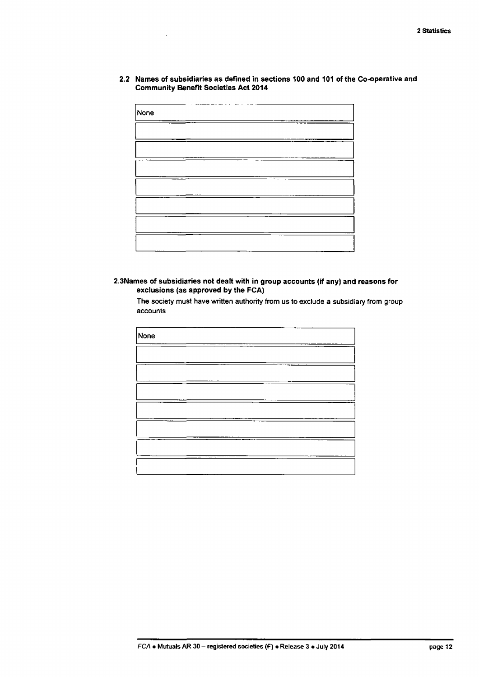**2.2 Names of subsidiaries as defined in sections 100 and 101 of the Co-operative and Community Benefit Societies Act 2014** 

| None |  |  |
|------|--|--|
|      |  |  |
|      |  |  |
|      |  |  |
|      |  |  |
|      |  |  |
|      |  |  |
|      |  |  |

**2.3Names of subsidiaries not dealt with in group accounts (if any) and reasons for exclusions (as approved by the FCA)** 

The society must have written authority from us to exclude a subsidiary from group accounts

| None |  |
|------|--|
|      |  |
|      |  |
|      |  |
|      |  |
|      |  |
|      |  |
|      |  |
|      |  |
|      |  |
|      |  |
|      |  |
|      |  |
|      |  |
|      |  |
|      |  |
|      |  |
|      |  |
|      |  |
|      |  |
|      |  |
|      |  |
|      |  |
|      |  |
|      |  |
|      |  |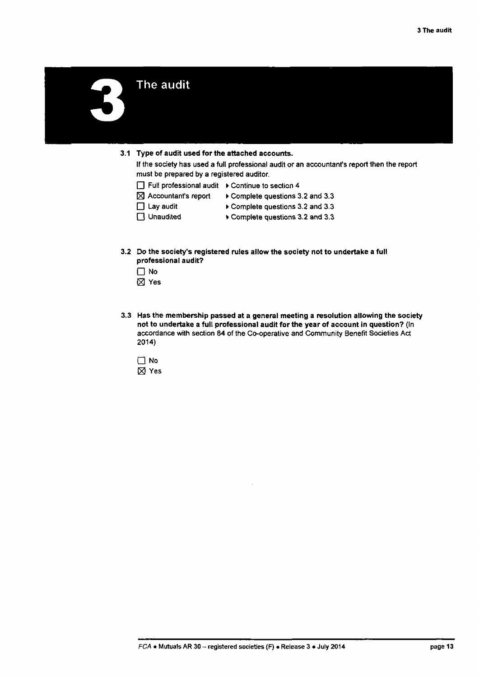**3 The audit** 

**3.1 Type of audit used for the attached accounts.** 

If the society has used a full professional audit or an accountant's report then the report must be prepared by a registered auditor.

- $\Box$  Full professional audit  $\rightarrow$  Continue to section 4
- $\boxtimes$  Accountant's report  $\longrightarrow$  Complete questions 3.2 and 3.3
- □ Lay audit Complete questions 3.2 and 3.3

- □ Unaudited  $\bullet$  Complete questions 3.2 and 3.3
- **3.2 Do the society's registered rules allow the society not to undertake a full professional audit?** 
	- $\Box$  No
	- 53 Yes
- 3.3 Has the membership passed at a general meeting a resolution allowing the society not to undertake a full professional audit for the year of account in question? (In accordance with section 84 of the Co-operative and Community Benefit Societies Act 2014)

 $\Box$  No M Yes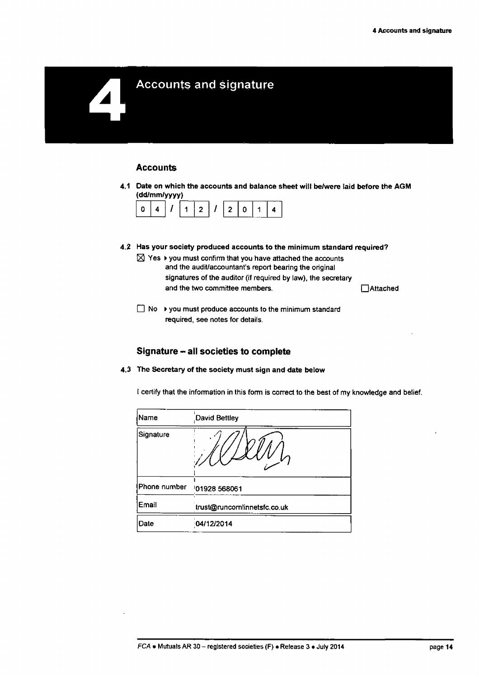# **Accounts and signature**

# **Accounts**

4.1 Date on which the accounts and balance sheet will be/were laid before the AGM (dd/mm/yyyy)



- 4.2 Has your society produced accounts to the minimum standard required?
	- $\boxtimes$  Yes  $\blacktriangleright$  you must confirm that you have attached the accounts and the audit/accountant's report bearing the original signatures of the auditor (if required by law), the secretary and the two committee members.  $\Box$ Attached

 $\Box$  No  $\rightarrow$  you must produce accounts to the minimum standard required, see notes for details.

# Signature - ail societies to complete

4.3 The Secretary of the society must sign and date below

I certify that the information in this form is correct to the best of my knowledge and belief.

| Name         | David Bettley                |
|--------------|------------------------------|
| Signature    |                              |
| Phone number | 101928 568061                |
| Email        | trust@runcorntinnetsfc.co.uk |
| Date         | 04/12/2014                   |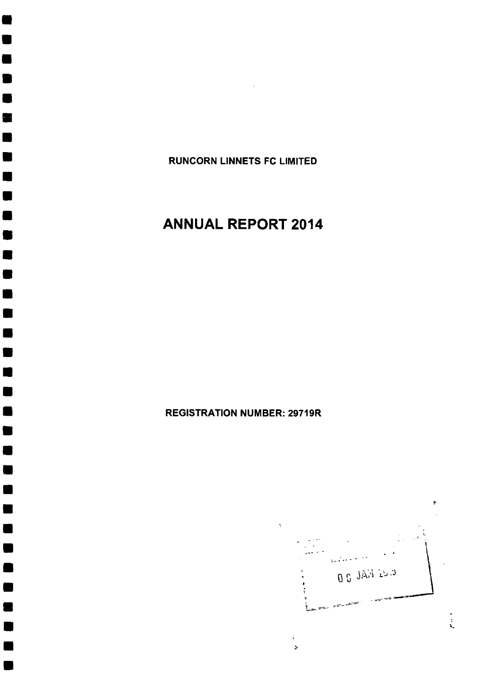**Re** 

H

 $\blacksquare$ 

Ð

**START** 

**In the case of the case of the case of the case of the case of the case of the case of the case of the case of the case of the case of the case of the case of the case of the case of the case of the case of the case of th** 

æ

П

ш

n

# **ANNUAL REPORT 2014**

REGISTRATION NUMBER: 29719R

 $\Delta$ 

 $\bar{\mathbf{y}}$ 

 $\boldsymbol{\eta}$  $\mathbf{L}$ 0 G JAN 20.0  $\approx$  $\frac{1}{k}$  $\mathbf{r}$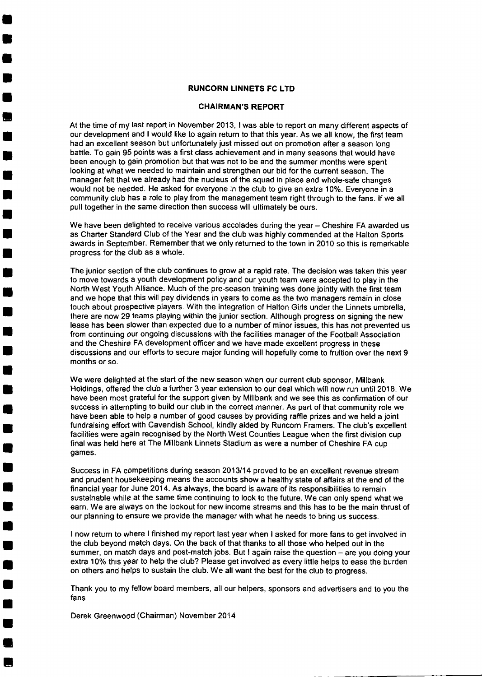# **CHAIRMAN'S REPORT**

At the time of my last report in November 2013, I was able to report on many different aspects of our development and I would like to again return to that this year. As we all know, the first team had an excellent season but unfortunately just missed out on promotion after a season long battle. To gain 95 points was a first class achievement and in many seasons that would have been enough to gain promotion but that was not to be and the summer months were spent looking at what we needed to maintain and strengthen our bid for the current season. The manager felt that we already had the nucleus of the squad in place and whole-sale changes would not be needed. He asked for everyone in the club to give an extra 10%. Everyone in a community club has a role to play from the management team right through to the fans. If we all pull together in the same direction then success will ultimately be ours.

We have been delighted to receive various accolades during the year - Cheshire FA awarded us as Charter Standard Club of the Year and the club was highly commended at the Halton Sports awards in September. Remember that we only returned to the town in 2010 so this is remarkable progress for the club as a whole.

The junior section of the club continues to grow at a rapid rate. The decision was taken this year to move towards a youth development policy and our youth team were accepted to play in the North West Youth Alliance. Much of the pre-season training was done jointly with the first team and we hope that this will pay dividends in years to come as the two managers remain in dose touch about prospective players. With the integration of Halton Girls under the Linnets umbrella, there are now 29 teams playing within the junior section. Although progress on signing the new lease has been slower than expected due to a number of minor issues, this has not prevented us from continuing our ongoing discussions with the facilities manager of the Football Association and the Cheshire FA development officer and we have made excellent progress in these discussions and our efforts to secure major funding will hopefully come to fruition over the next 9 months or so.

We were delighted at the start of the new season when our current club sponsor, Millbank Holdings, offered the club a further 3 year extension to our deal which will now run until 2018. We have been most grateful for the support given by Millbank and we see this as confirmation of our success in attempting to build our club in the correct manner. As part of that community role we have been able to help a number of good causes by providing raffle prizes and we held a joint fundraising effort with Cavendish School, kindly aided by Runcorn Framers. The club's excellent facilities were again recognised by the North West Counties League when the first division cup final was held here at The Millbank Linnets Stadium as were a number of Cheshire FA cup games.

Success in FA competitions during season 2013/14 proved to be an excellent revenue stream and prudent housekeeping means the accounts show a healthy state of affairs at the end of the financial year for June 2014. As always, the board is aware of its responsibilities to remain sustainable while at the same time continuing to look to the future. We can only spend what we earn. We are always on the lookout for new income streams and this has to be the main thrust of our planning to ensure we provide the manager with what he needs to bring us success.

I now return to where I finished my report last year when I asked for more fans to get involved in the club beyond match days. On the back of that thanks to all those who helped out in the summer, on match days and post-match jobs. But I again raise the question - are you doing your extra 10% this year to help the club? Please get involved as every little helps to ease the burden on others and helps to sustain the club. We all want the best for the club to progress.

Thank you to my fellow board members, all our helpers, sponsors and advertisers and to you the fans

Derek Greenwood (Chairman) November 2014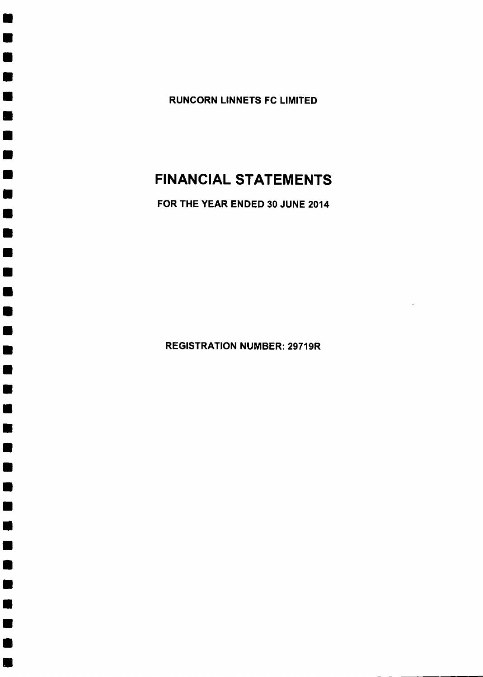$\blacksquare$ 

 $\blacksquare$ 

 $\blacksquare$ 

 $\blacksquare$ 

 $\blacksquare$ 

 $\blacksquare$ 

 $\blacksquare$ 

 $\blacksquare$ 

 $\blacksquare$ 

 $\blacksquare$ 

 $\blacksquare$ 

 $\blacksquare$ 

 $\blacksquare$ 

 $\blacksquare$ 

 $\blacksquare$ 

 $\blacksquare$ 

 $\blacksquare$ 

 $\blacksquare$ 

 $\blacksquare$ 

 $\blacksquare$ 

 $\blacksquare$ 

 $\blacksquare$ 

 $\blacksquare$ 

 $\blacksquare$ 

 $\blacksquare$ 

 $\blacksquare$ 

 $\blacksquare$ 

 $\blacksquare$ 

 $\blacksquare$ 

 $\blacksquare$ 

 $\blacksquare$ 

 $\blacksquare$ 

Œ.

H

# **FINANCIAL STATEMENTS**

FOR THE YEAR ENDED 30 JUNE 2014

REGISTRATION NUMBER: 29719R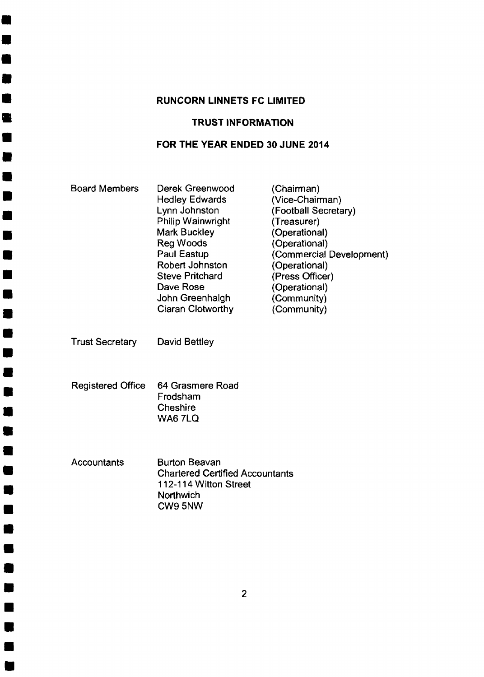$\blacksquare$ 

 $\blacksquare$ 

 $\blacksquare$ 

₩

 $\blacksquare$ 

 $\blacksquare$ 

 $\qquad \qquad \blacksquare$ 

 $\qquad \qquad \blacksquare$ 

 $\blacksquare$ 

 $\blacksquare$ 

 $\blacksquare$ 

 $\blacksquare$ 

 $\blacksquare$ 

 $\blacksquare$ 

 $\blacksquare$ 

 $\blacksquare$ 

 $\blacksquare$ 

 $\qquad \qquad \blacksquare$ 

 $\blacksquare$ 

 $\blacksquare$ 

 $\blacksquare$ 

 $\blacksquare$ 

 $\bullet$ 

 $\blacksquare$ 

 $\blacksquare$ 

 $\blacksquare$ 

 $\blacksquare$ 

 $\blacksquare$ 

 $\blacksquare$ 

 $\blacksquare$ 

 $\blacksquare$ 

I.

# **TRUST INFORMATION**

# **FOR THE YEAR ENDED 30 JUNE 2014**

| <b>Board Members</b>     | Derek Greenwood<br><b>Hedley Edwards</b><br>Lynn Johnston<br>Philip Wainwright<br><b>Mark Buckley</b><br>Reg Woods<br>Paul Eastup<br>Robert Johnston<br><b>Steve Pritchard</b><br>Dave Rose<br>John Greenhalgh<br>Ciaran Clotworthy | (Chairman)<br>(Vice-Chairman)<br>(Football Secretary)<br>(Treasurer)<br>(Operational)<br>(Operational)<br>(Commercial Development)<br>(Operational)<br>(Press Officer)<br>(Operational)<br>(Community)<br>(Community) |
|--------------------------|-------------------------------------------------------------------------------------------------------------------------------------------------------------------------------------------------------------------------------------|-----------------------------------------------------------------------------------------------------------------------------------------------------------------------------------------------------------------------|
| <b>Trust Secretary</b>   | David Bettley                                                                                                                                                                                                                       |                                                                                                                                                                                                                       |
| <b>Registered Office</b> | 64 Grasmere Road<br>Frodsham<br>Cheshire<br><b>WA67LQ</b>                                                                                                                                                                           |                                                                                                                                                                                                                       |
| Accountants              | <b>Burton Beavan</b><br><b>Chartered Certified Accountants</b><br>112-114 Witton Street<br>Northwich<br>CW9 5NW                                                                                                                     |                                                                                                                                                                                                                       |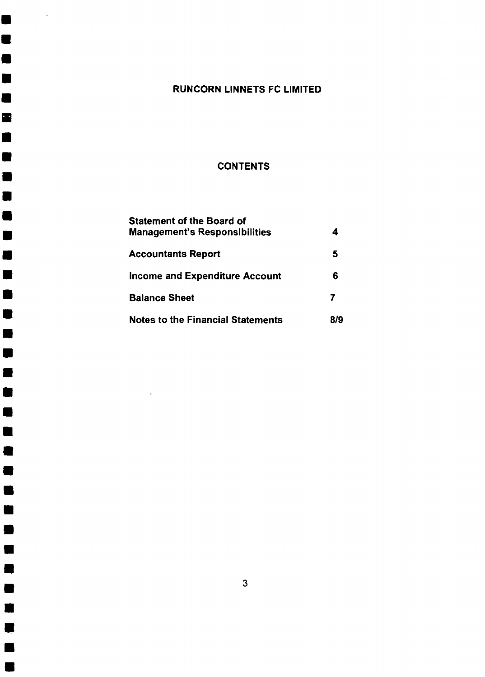$\ddot{\phantom{a}}$ 

 $\blacksquare$ 

 $\blacksquare$ 

 $\blacksquare$ 

 $\blacksquare$ 

 $\blacksquare$ 

 $\blacksquare$ 

 $\blacksquare$ 

 $\blacksquare$ 

 $\blacksquare$ 

 $\qquad \qquad \blacksquare$ 

 $\qquad \qquad \blacksquare$ 

 $\qquad \qquad \blacksquare$ 

 $\qquad \qquad \blacksquare$ 

 $\blacksquare$ 

 $\qquad \qquad \blacksquare$ 

 $\blacksquare$ 

 $\blacksquare$ 

 $\blacksquare$ 

 $\blacksquare$ 

 $\blacksquare$ 

 $\qquad \qquad \blacksquare$ 

 $\qquad \qquad \blacksquare$ 

 $\blacksquare$ 

 $\qquad \qquad \blacksquare$ 

Ð

 $\blacksquare$ 

 $\blacksquare$ 

 $\blacksquare$ 

 $\blacksquare$ 

 $\blacksquare$ 

œ

 $\blacksquare$ 

# **CONTENTS**

| <b>Statement of the Board of</b><br><b>Management's Responsibilities</b> | 4   |
|--------------------------------------------------------------------------|-----|
| <b>Accountants Report</b>                                                | 5   |
| <b>Income and Expenditure Account</b>                                    | 6   |
| <b>Balance Sheet</b>                                                     | 7   |
| <b>Notes to the Financial Statements</b>                                 | 8/9 |

 $\sim 10^7$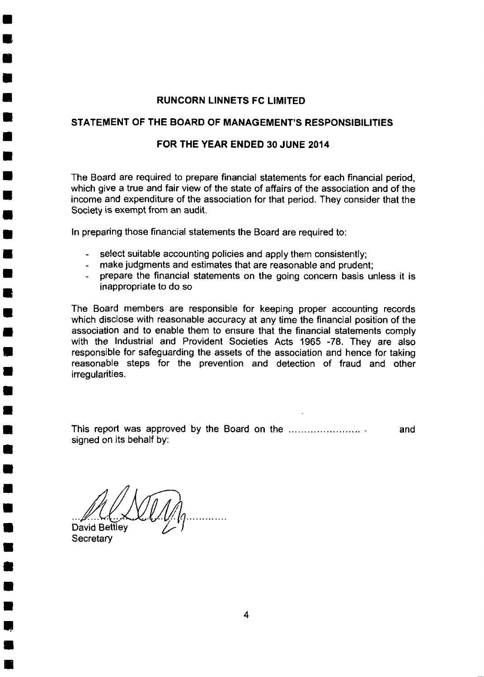# **STATEMENT OF THE BOARD OF MANAGEMENT'S RESPONSIBILITIES**

# **FOR THE YEAR ENDED 30 JUNE 2014**

The Board are required to prepare financial statements for each financial period, which give a true and fair view of the state of affairs of the association and of the income and expenditure of the association for that period. They consider that the Society is exempt from an audit.

In preparing those financial statements the Board are required to:

- select suitable accounting policies and apply them consistently;
- make judgments and estimates that are reasonable and prudent;
- prepare the financial statements on the going concern basis unless it is inappropriate to do so

The Board members are responsible for keeping proper accounting records which disclose with reasonable accuracy at any time the financial position of the association and to enable them to ensure that the financial statements comply with the Industrial and Provident Societies Acts 1965 -78. They are also responsible for safeguarding the assets of the association and hence for taking reasonable steps for the prevention and detection of fraud and other irregularities.

This report was approved by the Board on the and signed on its behalf by:

David Bettley **Secretary**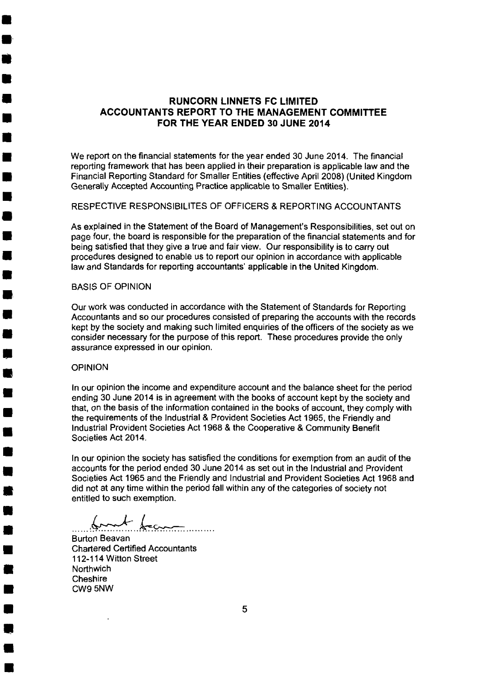# **RUNCORN LINNETS FC LIMITED ACCOUNTANTS REPORT TO THE MANAGEMENT COMMITTEE FOR THE YEAR ENDED 30 JUNE 2014**

We report on the financial statements for the year ended 30 June 2014. The financial reporting framework that has been applied in their preparation is applicable law and the Financial Reporting Standard for Smaller Entities (effective April 2008) (United Kingdom Generally Accepted Accounting Practice applicable to Smaller Entities).

RESPECTIVE RESPONSIBILITES OF OFFICERS & REPORTING ACCOUNTANTS

As explained in the Statement of the Board of Management's Responsibilities, set out on page four, the board is responsible for the preparation of the financial statements and for being satisfied that they give a true and fair view. Our responsibility is to carry out procedures designed to enable us to report our opinion in accordance with applicable law and Standards for reporting accountants' applicable in the United Kingdom.

# BASIS OF OPINION

Our work was conducted in accordance with the Statement of Standards for Reporting Accountants and so our procedures consisted of preparing the accounts with the records kept by the society and making such limited enquiries of the officers of the society as we consider necessary for the purpose of this report. These procedures provide the only assurance expressed in our opinion.

# **OPINION**

In our opinion the income and expenditure account and the balance sheet for the period ending 30 June 2014 is in agreement with the books of account kept by the society and that, on the basis of the information contained in the books of account, they comply with the requirements of the Industrial & Provident Societies Act 1965, the Friendly and Industrial Provident Societies Act 1968 & the Cooperative & Community Benefit Societies Act 2014.

In our opinion the society has satisfied the conditions for exemption from an audit of the accounts for the period ended 30 June 2014 as set out in the Industrial and Provident Societies Act 1965 and the Friendly and Industrial and Provident Societies Act 1968 and did not at any time within the period fall within any of the categories of society not entitled to such exemption.

Burton Beavan Chartered Certified Accountants 112-114 Witton Street Northwich **Cheshire** CW9 5NW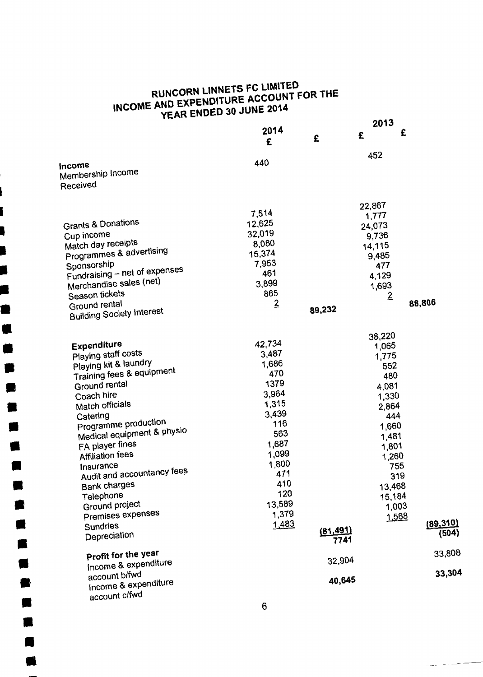# RUNCORN LINNETS FC LIMITED<br>INCOME AND EXPENDITURE ACCOUNT FOR THE YEAR ENDED 30 JUNE 2014

É

 $\blacksquare$ 

۰

 $\blacksquare$ 

B

 $\blacksquare$ 

 $\blacksquare$ 

 $\blacksquare$ 

 $\blacksquare$ 

 $\blacksquare$ 

 $\blacksquare$ 

 $\blacksquare$ 

 $\blacksquare$ 

 $\blacksquare$ 

 $\blacksquare$ 

Œ

| $i$ russes                       |                         |                         | 2013           |                    |
|----------------------------------|-------------------------|-------------------------|----------------|--------------------|
|                                  | 2014<br>£               | £                       | £<br>£         |                    |
|                                  |                         |                         | 452            |                    |
| Income                           | 440                     |                         |                |                    |
| Membership Income                |                         |                         |                |                    |
| Received                         |                         |                         |                |                    |
|                                  |                         |                         | 22,867         |                    |
|                                  | 7,514                   |                         | 1,777          |                    |
| <b>Grants &amp; Donations</b>    | 12,625                  |                         | 24,073         |                    |
| Cup income                       | 32,019                  |                         | 9,736          |                    |
| Match day receipts               | 8,080                   |                         | 14,115         |                    |
| Programmes & advertising         | 15,374                  |                         | 9,485          |                    |
| Sponsorship                      | 7,953                   |                         | 477            |                    |
| Fundraising - net of expenses    | 461                     |                         | 4,129          |                    |
| Merchandise sales (net)          | 3,899                   |                         | 1,693          |                    |
| Season tickets                   | 865                     |                         | $\overline{z}$ |                    |
| Ground rental                    | $\overline{\mathbf{2}}$ |                         |                | 88,806             |
| <b>Building Society Interest</b> |                         | 89,232                  |                |                    |
|                                  |                         |                         |                |                    |
|                                  |                         |                         | 38,220         |                    |
| Expenditure                      | 42,734                  |                         | 1,065          |                    |
| Playing staff costs              | 3,487                   |                         | 1,775          |                    |
| Playing kit & laundry            | 1,686                   |                         | 552            |                    |
| Training fees & equipment        | 470                     |                         | 480            |                    |
| Ground rental                    | 1379                    |                         | 4,081          |                    |
| Coach hire                       | 3,964                   |                         | 1,330          |                    |
| Match officials                  | 1,315                   |                         | 2,864          |                    |
| Catering                         | 3,439                   |                         | 444            |                    |
| Programme production             | 116                     |                         | 1,660          |                    |
| Medical equipment & physio       | 563                     |                         | 1,481          |                    |
| FA player fines                  | 1,687                   |                         | 1,801          |                    |
| Affiliation fees                 | 1,099                   |                         | 1,260          |                    |
| Insurance                        | 1,800                   |                         | 755            |                    |
| Audit and accountancy fees       | 471                     |                         | 319            |                    |
| <b>Bank charges</b>              | 410                     |                         | 13,468         |                    |
| Telephone                        | 120                     |                         | 15,184         |                    |
| Ground project                   | 13,589                  |                         | 1,003          |                    |
| Premises expenses                | 1,379                   |                         | 1,568          |                    |
| Sundries                         | 1,483                   |                         |                | (89, 310)<br>(504) |
| Depreciation                     |                         | $\frac{(81,491)}{7741}$ |                |                    |
| Profit for the year              |                         |                         |                | 33,808             |
| Income & expenditure             |                         | 32,904                  |                |                    |
| account b/fwd                    |                         |                         |                | 33,304             |
| Income & expenditure             |                         | 40,645                  |                |                    |
| account c/fwd                    |                         |                         |                |                    |

 $\frac{1}{2} \left( \frac{1}{2} \right) \frac{1}{2} \left( \frac{1}{2} \right) \left( \frac{1}{2} \right) \left( \frac{1}{2} \right) \left( \frac{1}{2} \right) \left( \frac{1}{2} \right)$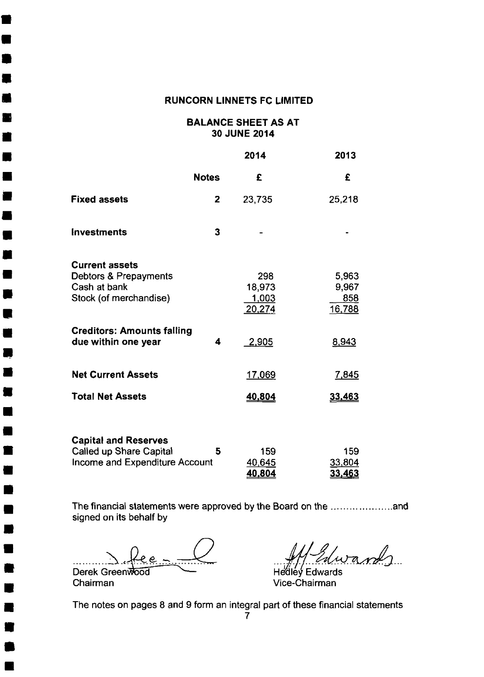# BALANCE SHEET AS AT 30 JUNE 2014

|                                                                                          |   | 2014                             | 2013                            |
|------------------------------------------------------------------------------------------|---|----------------------------------|---------------------------------|
| <b>Notes</b>                                                                             |   | £                                | £                               |
| <b>Fixed assets</b>                                                                      | 2 | 23,735                           | 25,218                          |
| <b>Investments</b>                                                                       | 3 |                                  |                                 |
| <b>Current assets</b><br>Debtors & Prepayments<br>Cash at bank<br>Stock (of merchandise) |   | 298<br>18,973<br>1,003<br>20,274 | 5,963<br>9,967<br>858<br>16,788 |
| <b>Creditors: Amounts falling</b><br>due within one year                                 | 4 | 2,905                            | 8,943                           |
| <b>Net Current Assets</b>                                                                |   | 17,069                           | <u>7,845</u>                    |
| <b>Total Net Assets</b>                                                                  |   | 40,804                           | <u>33,463</u>                   |
| <b>Capital and Reserves</b><br>Called up Share Capital<br>Income and Expenditure Account | 5 | 159<br>40,645                    | 159<br>33,804                   |
|                                                                                          |   | 40,804                           | <u>33,463</u>                   |

The financial statements were approved by the Board on the .and signed on its behalf by

 $\Delta$ fee

Derek Greenwood Chairman

t and

■

 $\blacksquare$ 

Hedley Edwards Vice-Chairman

The notes on pages 8 and 9 form an integral part of these financial statements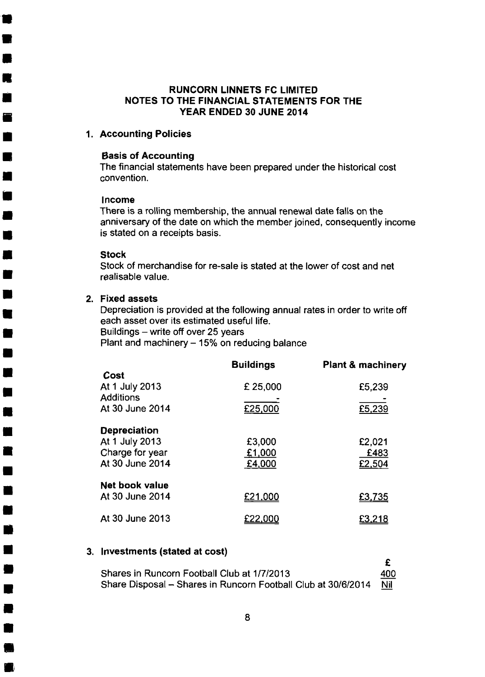# **RUNCORN LINNETS FC LIMITED NOTES TO THE FINANCIAL STATEMENTS FOR THE YEAR ENDED 30 JUNE 2014**

# **1. Accounting Policies**

# **Basis of Accounting**

The financial statements have been prepared under the historical cost convention.

# **Income**

 $\blacksquare$ 

Æ

ш

 $\blacksquare$ 

**Service** 

t and

ш

There is a rolling membership, the annual renewal date falls on the anniversary of the date on which the member joined, consequently income is stated on a receipts basis.

# **Stock**

Stock of merchandise for re-sale is stated at the lower of cost and net realisable value.

# **2. Fixed assets**

Depreciation is provided at the following annual rates in order to write off each asset over its estimated useful life.

Buildings - write off over 25 years

Plant and machinery - 15% on reducing balance

|                     | <b>Buildings</b> | <b>Plant &amp; machinery</b> |
|---------------------|------------------|------------------------------|
| Cost                |                  |                              |
| At 1 July 2013      | £25,000          | £5,239                       |
| <b>Additions</b>    |                  |                              |
| At 30 June 2014     | £25,000          | £5,239                       |
| <b>Depreciation</b> |                  |                              |
| At 1 July 2013      | £3,000           | £2,021                       |
| Charge for year     | £1,000           | £483                         |
| At 30 June 2014     | £4,000           | £2,504                       |
| Net book value      |                  |                              |
| At 30 June 2014     | £21,000          | £3,735                       |
| At 30 June 2013     | £22.000          | £3.218                       |
|                     |                  |                              |

# **3. Investments (stated at cost)**

| Shares in Runcorn Football Club at 1/7/2013                       | 400 |
|-------------------------------------------------------------------|-----|
| Share Disposal - Shares in Runcorn Football Club at 30/6/2014 Nil |     |

**£**